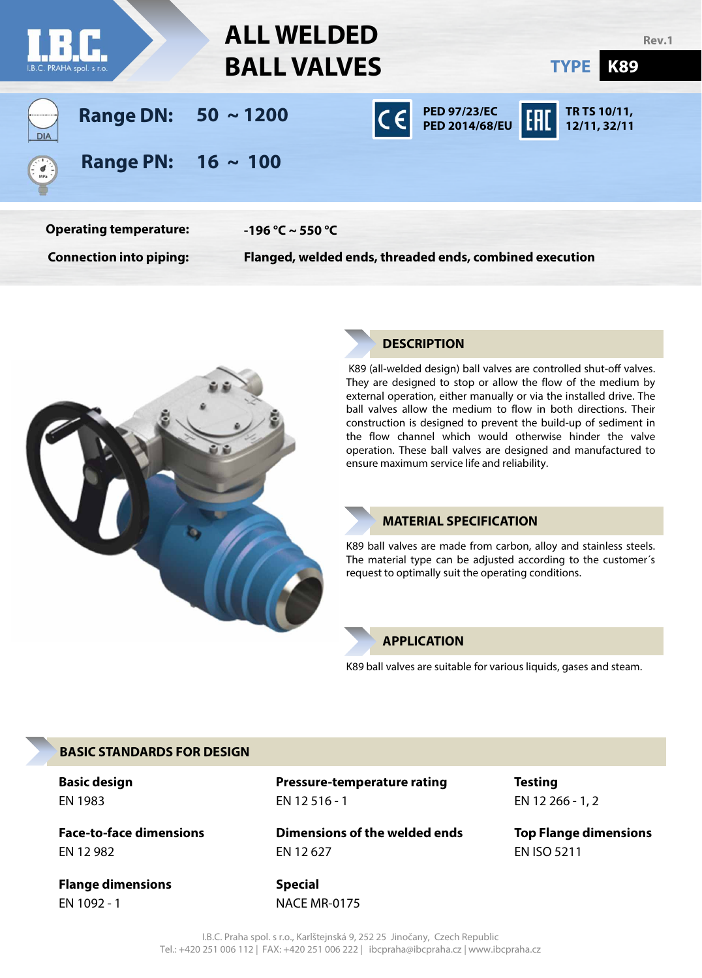



# **DESCRIPTION**

K89 (all-welded design) ball valves are controlled shut-off valves. They are designed to stop or allow the flow of the medium by external operation, either manually or via the installed drive. The ball valves allow the medium to flow in both directions. Their construction is designed to prevent the build-up of sediment in the flow channel which would otherwise hinder the valve operation. These ball valves are designed and manufactured to ensure maximum service life and reliability.

# **MATERIAL SPECIFICATION**

K89 ball valves are made from carbon, alloy and stainless steels. The material type can be adjusted according to the customer´s request to optimally suit the operating conditions.

## **APPLICATION**

K89 ball valves are suitable for various liquids, gases and steam.

## **BASIC STANDARDS FOR DESIGN**

EN 1983

**Face-to-face dimensions** EN 12 982

**Flange dimensions** EN 1092 - 1

EN 12 516 - 1 **Basic design Pressure-temperature rating Testing**

> **Dimensions of the welded ends** EN 12 627

**Special** NACE MR-0175 EN 12 266 - 1, 2

**Top Flange dimensions** EN ISO 5211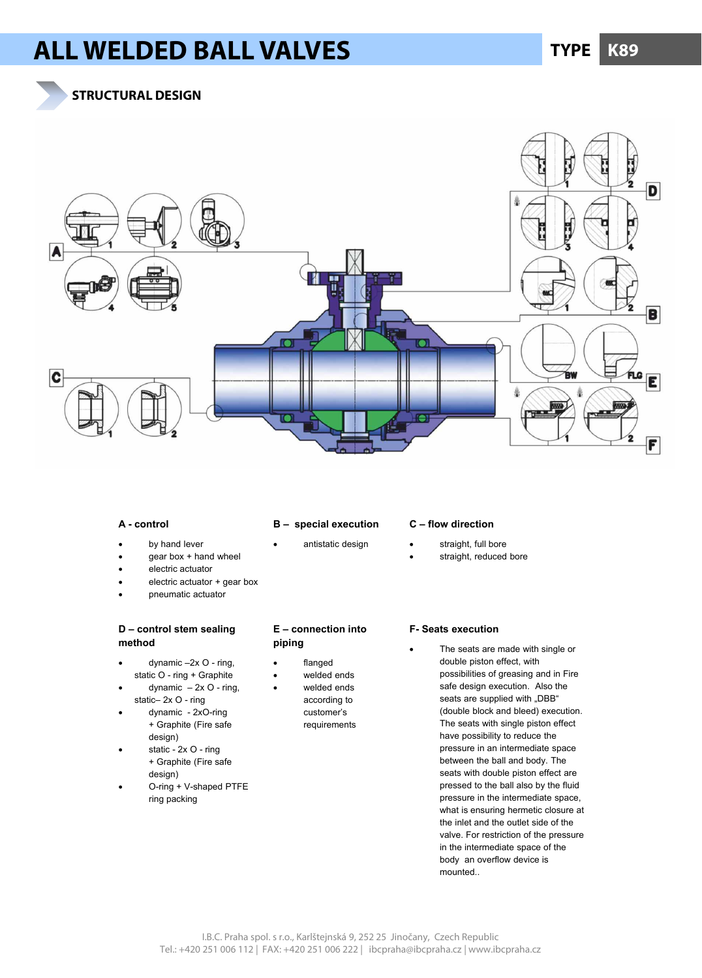# **ALL WELDED BALL VALVES TYPE K89**

**STRUCTURAL DESIGN**



### **A - control**

### **B – special execution**

- antistatic design
- by hand lever gear box + hand wheel
- electric actuator
- electric actuator + gear box
- pneumatic actuator

### **D – control stem sealing method**

- dynamic –2x O ring, static O - ring + Graphite
- dynamic  $-2x$  O ring, static– 2x O - ring
- dynamic 2xO-ring + Graphite (Fire safe design)
- static 2x O ring + Graphite (Fire safe design)
- O-ring + V-shaped PTFE ring packing

## **E – connection into piping**

- flanged
- welded ends
	- welded ends according to customer's requirements

### **C – flow direction**

- straight, full bore
- straight, reduced bore

### **F- Seats execution**

 The seats are made with single or double piston effect, with possibilities of greasing and in Fire safe design execution. Also the seats are supplied with "DBB" (double block and bleed) execution. The seats with single piston effect have possibility to reduce the pressure in an intermediate space between the ball and body. The seats with double piston effect are pressed to the ball also by the fluid pressure in the intermediate space, what is ensuring hermetic closure at the inlet and the outlet side of the valve. For restriction of the pressure in the intermediate space of the body an overflow device is mounted..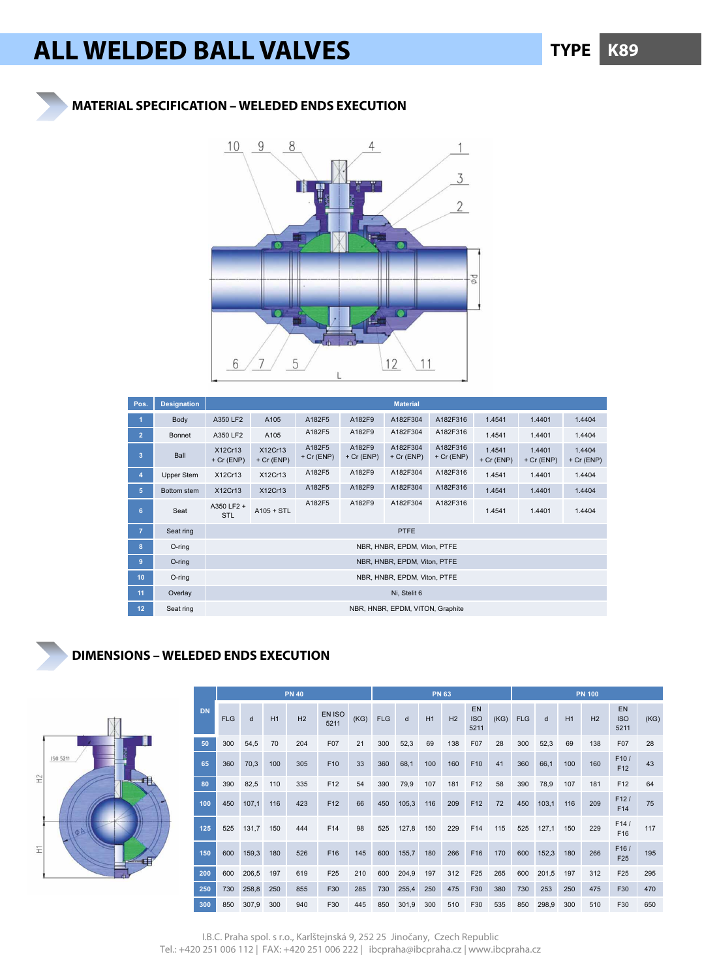# **ALL WELDED BALL VALVES TYPE K89**

**MATERIAL SPECIFICATION – WELEDED ENDS EXECUTION** 

# 9  $10$ 8 4  $1$ 3  $\|$  $\overline{2}$ Φą 5 12 11 6

| Pos.           | <b>Designation</b> |                              | <b>Material</b>              |                        |                        |                                  |                          |                        |                        |                        |  |  |  |  |
|----------------|--------------------|------------------------------|------------------------------|------------------------|------------------------|----------------------------------|--------------------------|------------------------|------------------------|------------------------|--|--|--|--|
| 1              | Body               | A350 LF2                     | A105                         | A182F5                 | A182F9                 | A182F304                         | A182F316                 | 1.4541                 | 1.4401                 | 1.4404                 |  |  |  |  |
| $\overline{2}$ | <b>Bonnet</b>      | A350 LF2                     | A105                         | A182F5                 | A182F9                 | A182F304                         | A182F316                 | 1.4541                 | 1.4401                 | 1.4404                 |  |  |  |  |
| 3              | Ball               | X12Cr13<br>$+ Cr$ (ENP)      | X12Cr13<br>$+ Cr$ (ENP)      | A182F5<br>$+ Cr$ (ENP) | A182F9<br>$+ Cr$ (ENP) | A182F304<br>$+ Cr (ENP)$         | A182F316<br>$+ Cr$ (ENP) | 1.4541<br>$+ Cr$ (ENP) | 1.4401<br>$+ Cr$ (ENP) | 1.4404<br>$+ Cr$ (ENP) |  |  |  |  |
| $\overline{4}$ | Upper Stem         | X12Cr13                      | X12Cr13                      | A182F5                 | A182F9                 | A182F304                         | A182F316                 | 1.4541                 | 1.4401                 | 1.4404                 |  |  |  |  |
| 5              | Bottom stem        | X12Cr13                      | X12Cr13                      | A182F5                 | A182F9                 | A182F304                         | A182F316                 | 1.4541                 | 1.4401                 | 1.4404                 |  |  |  |  |
| 6              | Seat               | A350 LF2 +<br><b>STL</b>     | $A105 + STL$                 | A182F5                 | A182F9                 | A182F304                         | A182F316                 | 1.4541                 | 1.4401                 | 1.4404                 |  |  |  |  |
| $\overline{7}$ | Seat ring          |                              | <b>PTFE</b>                  |                        |                        |                                  |                          |                        |                        |                        |  |  |  |  |
| 8              | O-ring             |                              | NBR, HNBR, EPDM, Viton, PTFE |                        |                        |                                  |                          |                        |                        |                        |  |  |  |  |
| $\overline{9}$ | O-ring             | NBR, HNBR, EPDM, Viton, PTFE |                              |                        |                        |                                  |                          |                        |                        |                        |  |  |  |  |
| 10             | O-ring             | NBR, HNBR, EPDM, Viton, PTFE |                              |                        |                        |                                  |                          |                        |                        |                        |  |  |  |  |
| 11             | Overlay            | Ni, Stelit 6                 |                              |                        |                        |                                  |                          |                        |                        |                        |  |  |  |  |
| 12             | Seat ring          |                              |                              |                        |                        | NBR, HNBR, EPDM, VITON, Graphite |                          |                        |                        |                        |  |  |  |  |

# **DIMENSIONS – WELEDED ENDS EXECUTION**



|           | <b>PN 40</b> |       |     |     |                 |      | <b>PN 63</b> |       |     |     |                          |      | <b>PN 100</b> |       |     |                |                                 |      |
|-----------|--------------|-------|-----|-----|-----------------|------|--------------|-------|-----|-----|--------------------------|------|---------------|-------|-----|----------------|---------------------------------|------|
| <b>DN</b> | <b>FLG</b>   | d     | H1  | H2  | EN ISO<br>5211  | (KG) | <b>FLG</b>   | d     | H1  | H2  | EN<br><b>ISO</b><br>5211 | (KG) | <b>FLG</b>    | d     | H1  | H <sub>2</sub> | <b>EN</b><br><b>ISO</b><br>5211 | (KG) |
| 50        | 300          | 54,5  | 70  | 204 | F07             | 21   | 300          | 52,3  | 69  | 138 | F07                      | 28   | 300           | 52,3  | 69  | 138            | F07                             | 28   |
| 65        | 360          | 70,3  | 100 | 305 | F10             | 33   | 360          | 68,1  | 100 | 160 | F10                      | 41   | 360           | 66,1  | 100 | 160            | F10/<br>F <sub>12</sub>         | 43   |
| 80        | 390          | 82,5  | 110 | 335 | F12             | 54   | 390          | 79,9  | 107 | 181 | F12                      | 58   | 390           | 78,9  | 107 | 181            | F <sub>12</sub>                 | 64   |
| 100       | 450          | 107,1 | 116 | 423 | F12             | 66   | 450          | 105,3 | 116 | 209 | F12                      | 72   | 450           | 103,1 | 116 | 209            | F12/<br>F14                     | 75   |
| 125       | 525          | 131,7 | 150 | 444 | F14             | 98   | 525          | 127,8 | 150 | 229 | F14                      | 115  | 525           | 127,1 | 150 | 229            | F14/<br>F16                     | 117  |
| 150       | 600          | 159,3 | 180 | 526 | F16             | 145  | 600          | 155,7 | 180 | 266 | F16                      | 170  | 600           | 152,3 | 180 | 266            | F16/<br>F <sub>25</sub>         | 195  |
| 200       | 600          | 206,5 | 197 | 619 | F <sub>25</sub> | 210  | 600          | 204,9 | 197 | 312 | F <sub>25</sub>          | 265  | 600           | 201,5 | 197 | 312            | F <sub>25</sub>                 | 295  |
| 250       | 730          | 258,8 | 250 | 855 | F30             | 285  | 730          | 255,4 | 250 | 475 | F30                      | 380  | 730           | 253   | 250 | 475            | F30                             | 470  |
| 300       | 850          | 307,9 | 300 | 940 | F30             | 445  | 850          | 301,9 | 300 | 510 | F30                      | 535  | 850           | 298,9 | 300 | 510            | F30                             | 650  |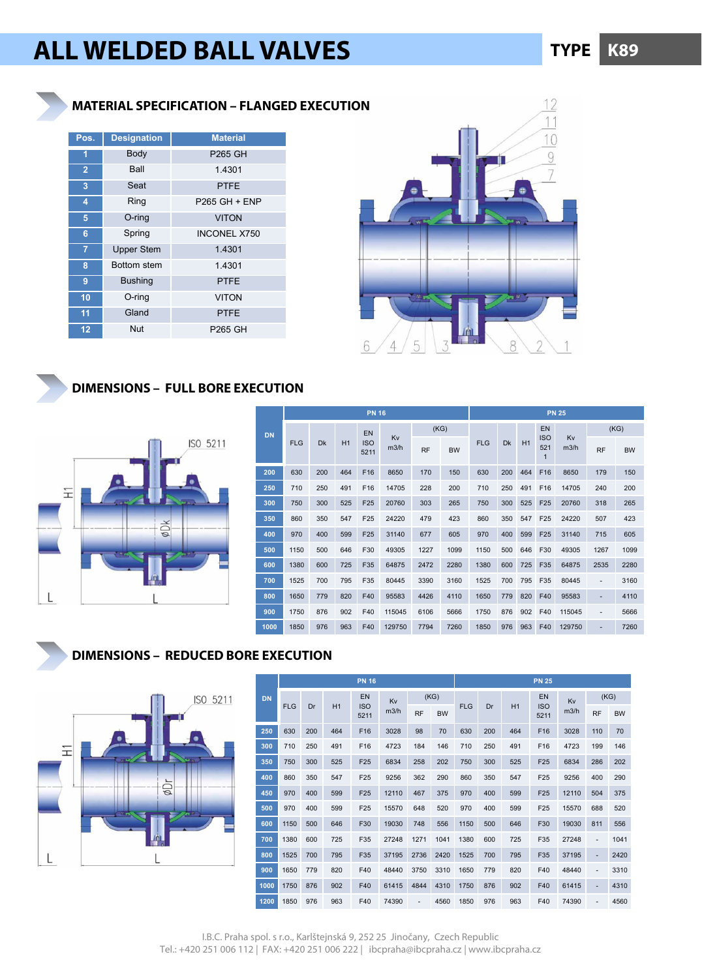# **ALL WELDED BALL VALVES KB9 K89**

# **MATERIAL SPECIFICATION – FLANGED EXECUTION**

| Pos.           | <b>Designation</b> | <b>Material</b>     |
|----------------|--------------------|---------------------|
| 1              | Body               | <b>P265 GH</b>      |
| $\overline{2}$ | Ball               | 1.4301              |
| 3              | Seat               | <b>PTFE</b>         |
| 4              | Ring               | P265 GH + ENP       |
| 5              | O-ring             | <b>VITON</b>        |
| 6              | Spring             | <b>INCONEL X750</b> |
| $\overline{7}$ | <b>Upper Stem</b>  | 1.4301              |
| 8              | <b>Bottom stem</b> | 1.4301              |
| 9              | <b>Bushing</b>     | <b>PTFE</b>         |
| 10             | $O$ -ring          | <b>VITON</b>        |
| 11             | Gland              | <b>PTFE</b>         |
| 12             | Nut                | P265 GH             |



# **DIMENSIONS – FULL BORE EXECUTION**



|           | <b>PN 16</b> |           |     |                    |            |           |           | <b>PN 25</b> |     |     |                                   |            |                |           |  |  |
|-----------|--------------|-----------|-----|--------------------|------------|-----------|-----------|--------------|-----|-----|-----------------------------------|------------|----------------|-----------|--|--|
| <b>DN</b> |              |           |     | EN                 |            |           | (KG)      |              |     | EN  |                                   | (KG)       |                |           |  |  |
|           | <b>FLG</b>   | <b>Dk</b> | H1  | <b>ISO</b><br>5211 | Kv<br>m3/h | <b>RF</b> | <b>BW</b> | <b>FLG</b>   | Dk  | H1  | <b>ISO</b><br>521<br>$\mathbf{1}$ | Kv<br>m3/h | <b>RF</b>      | <b>BW</b> |  |  |
| 200       | 630          | 200       | 464 | F16                | 8650       | 170       | 150       | 630          | 200 | 464 | F <sub>16</sub>                   | 8650       | 179            | 150       |  |  |
| 250       | 710          | 250       | 491 | F16                | 14705      | 228       | 200       | 710          | 250 | 491 | F16                               | 14705      | 240            | 200       |  |  |
| 300       | 750          | 300       | 525 | F <sub>25</sub>    | 20760      | 303       | 265       | 750          | 300 | 525 | F <sub>25</sub>                   | 20760      | 318            | 265       |  |  |
| 350       | 860          | 350       | 547 | F25                | 24220      | 479       | 423       | 860          | 350 | 547 | F <sub>25</sub>                   | 24220      | 507            | 423       |  |  |
| 400       | 970          | 400       | 599 | F25                | 31140      | 677       | 605       | 970          | 400 | 599 | F <sub>25</sub>                   | 31140      | 715            | 605       |  |  |
| 500       | 1150         | 500       | 646 | F30                | 49305      | 1227      | 1099      | 1150         | 500 | 646 | F30                               | 49305      | 1267           | 1099      |  |  |
| 600       | 1380         | 600       | 725 | F35                | 64875      | 2472      | 2280      | 1380         | 600 | 725 | F35                               | 64875      | 2535           | 2280      |  |  |
| 700       | 1525         | 700       | 795 | F35                | 80445      | 3390      | 3160      | 1525         | 700 | 795 | F35                               | 80445      | $\blacksquare$ | 3160      |  |  |
| 800       | 1650         | 779       | 820 | F40                | 95583      | 4426      | 4110      | 1650         | 779 | 820 | F40                               | 95583      |                | 4110      |  |  |
| 900       | 1750         | 876       | 902 | F40                | 115045     | 6106      | 5666      | 1750         | 876 | 902 | F40                               | 115045     | ٠              | 5666      |  |  |
| 1000      | 1850         | 976       | 963 | F40                | 129750     | 7794      | 7260      | 1850         | 976 | 963 | F40                               | 129750     | ٠              | 7260      |  |  |

# **DIMENSIONS – REDUCED BORE EXECUTION**



|           |            |     |     | <b>PN 16</b>       |       |           |           | <b>PN 25</b> |     |     |                    |       |                          |           |  |  |
|-----------|------------|-----|-----|--------------------|-------|-----------|-----------|--------------|-----|-----|--------------------|-------|--------------------------|-----------|--|--|
| <b>DN</b> |            |     |     | EN                 | Kv    |           | (KG)      |              |     |     | EN                 | Kv    |                          | (KG)      |  |  |
|           | <b>FLG</b> | Dr  | H1  | <b>ISO</b><br>5211 | m3/h  | <b>RF</b> | <b>BW</b> | <b>FLG</b>   | Dr  | H1  | <b>ISO</b><br>5211 | m3/h  | <b>RF</b>                | <b>BW</b> |  |  |
| 250       | 630        | 200 | 464 | F <sub>16</sub>    | 3028  | 98        | 70        | 630          | 200 | 464 | F16                | 3028  | 110                      | 70        |  |  |
| 300       | 710        | 250 | 491 | F16                | 4723  | 184       | 146       | 710          | 250 | 491 | F16                | 4723  | 199                      | 146       |  |  |
| 350       | 750        | 300 | 525 | F25                | 6834  | 258       | 202       | 750          | 300 | 525 | F25                | 6834  | 286                      | 202       |  |  |
| 400       | 860        | 350 | 547 | F <sub>25</sub>    | 9256  | 362       | 290       | 860          | 350 | 547 | F25                | 9256  | 400                      | 290       |  |  |
| 450       | 970        | 400 | 599 | F25                | 12110 | 467       | 375       | 970          | 400 | 599 | F <sub>25</sub>    | 12110 | 504                      | 375       |  |  |
| 500       | 970        | 400 | 599 | F25                | 15570 | 648       | 520       | 970          | 400 | 599 | F25                | 15570 | 688                      | 520       |  |  |
| 600       | 1150       | 500 | 646 | F30                | 19030 | 748       | 556       | 1150         | 500 | 646 | F30                | 19030 | 811                      | 556       |  |  |
| 700       | 1380       | 600 | 725 | F35                | 27248 | 1271      | 1041      | 1380         | 600 | 725 | F35                | 27248 | $\overline{\phantom{0}}$ | 1041      |  |  |
| 800       | 1525       | 700 | 795 | F35                | 37195 | 2736      | 2420      | 1525         | 700 | 795 | F35                | 37195 | $\overline{\phantom{0}}$ | 2420      |  |  |
| 900       | 1650       | 779 | 820 | F40                | 48440 | 3750      | 3310      | 1650         | 779 | 820 | F40                | 48440 | ٠                        | 3310      |  |  |
| 1000      | 1750       | 876 | 902 | F40                | 61415 | 4844      | 4310      | 1750         | 876 | 902 | F40                | 61415 | $\overline{\phantom{0}}$ | 4310      |  |  |
| 1200      | 1850       | 976 | 963 | F40                | 74390 |           | 4560      | 1850         | 976 | 963 | F40                | 74390 | ٠                        | 4560      |  |  |